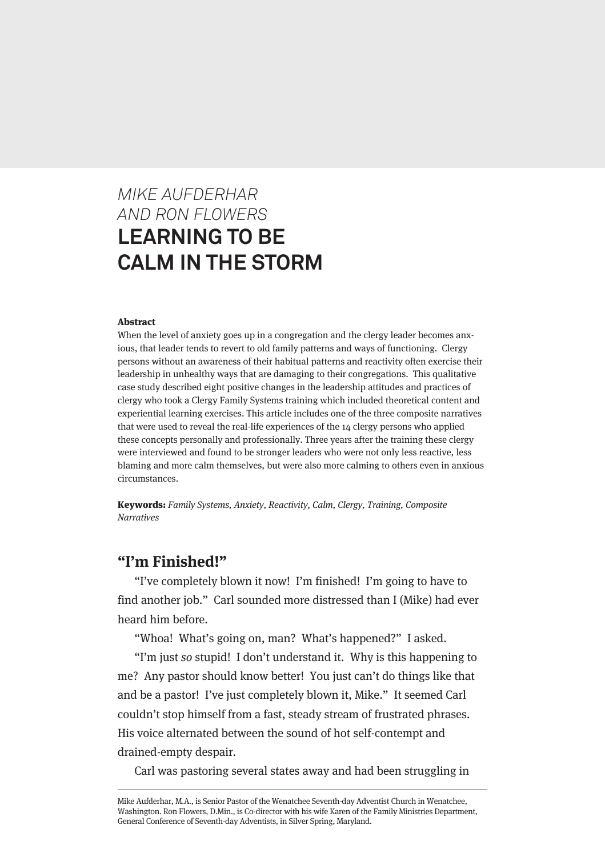# *MIKE AUFDERHAR AND RON FLOWERS* **LEARNING TO BE CALM IN THE STORM**

#### Abstract

When the level of anxiety goes up in a congregation and the clergy leader becomes anxious, that leader tends to revert to old family patterns and ways of functioning. Clergy persons without an awareness of their habitual patterns and reactivity often exercise their leadership in unhealthy ways that are damaging to their congregations. This qualitative case study described eight positive changes in the leadership attitudes and practices of clergy who took a Clergy Family Systems training which included theoretical content and experiential learning exercises. This article includes one of the three composite narratives that were used to reveal the real-life experiences of the 14 clergy persons who applied these concepts personally and professionally. Three years after the training these clergy were interviewed and found to be stronger leaders who were not only less reactive, less blaming and more calm themselves, but were also more calming to others even in anxious circumstances.

Keywords: Family Systems, Anxiety, Reactivity, Calm, Clergy, Training, Composite **Narratives** 

#### **"I'm Finished!"**

"I've completely blown it now! I'm finished! I'm going to have to find another job." Carl sounded more distressed than I (Mike) had ever heard him before.

"Whoa! What's going on, man? What's happened?" I asked.

"I'm just so stupid! I don't understand it. Why is this happening to me? Any pastor should know better! You just can't do things like that and be a pastor! I've just completely blown it, Mike." It seemed Carl couldn't stop himself from a fast, steady stream of frustrated phrases. His voice alternated between the sound of hot self-contempt and drained-empty despair.

Carl was pastoring several states away and had been struggling in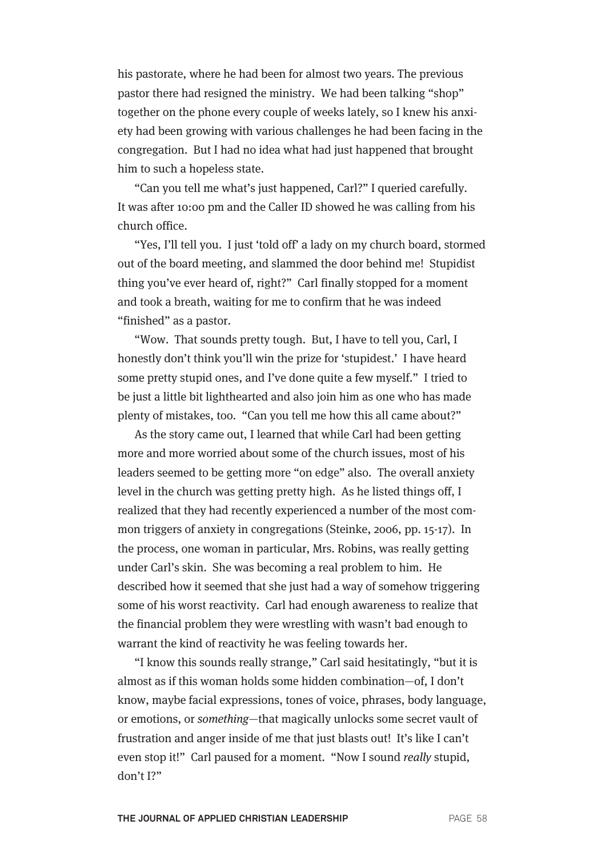his pastorate, where he had been for almost two years. The previous pastor there had resigned the ministry. We had been talking "shop" together on the phone every couple of weeks lately, so I knew his anxiety had been growing with various challenges he had been facing in the congregation. But I had no idea what had just happened that brought him to such a hopeless state.

"Can you tell me what's just happened, Carl?" I queried carefully. It was after 10:00 pm and the Caller ID showed he was calling from his church office.

"Yes, I'll tell you. I just 'told off' a lady on my church board, stormed out of the board meeting, and slammed the door behind me! Stupidist thing you've ever heard of, right?" Carl finally stopped for a moment and took a breath, waiting for me to confirm that he was indeed "finished" as a pastor.

"Wow. That sounds pretty tough. But, I have to tell you, Carl, I honestly don't think you'll win the prize for 'stupidest.' I have heard some pretty stupid ones, and I've done quite a few myself." I tried to be just a little bit lighthearted and also join him as one who has made plenty of mistakes, too. "Can you tell me how this all came about?"

As the story came out, I learned that while Carl had been getting more and more worried about some of the church issues, most of his leaders seemed to be getting more "on edge" also. The overall anxiety level in the church was getting pretty high. As he listed things off, I realized that they had recently experienced a number of the most common triggers of anxiety in congregations (Steinke, 2006, pp. 15-17). In the process, one woman in particular, Mrs. Robins, was really getting under Carl's skin. She was becoming a real problem to him. He described how it seemed that she just had a way of somehow triggering some of his worst reactivity. Carl had enough awareness to realize that the financial problem they were wrestling with wasn't bad enough to warrant the kind of reactivity he was feeling towards her.

"I know this sounds really strange," Carl said hesitatingly, "but it is almost as if this woman holds some hidden combination—of, I don't know, maybe facial expressions, tones of voice, phrases, body language, or emotions, or something—that magically unlocks some secret vault of frustration and anger inside of me that just blasts out! It's like I can't even stop it!" Carl paused for a moment. "Now I sound *really* stupid, don't I?"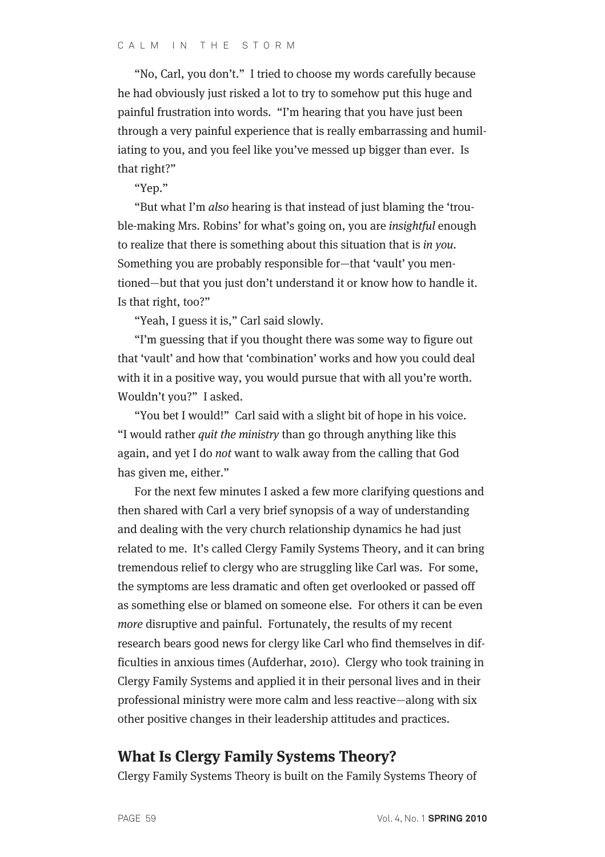"No, Carl, you don't." I tried to choose my words carefully because he had obviously just risked a lot to try to somehow put this huge and painful frustration into words. "I'm hearing that you have just been through a very painful experience that is really embarrassing and humiliating to you, and you feel like you've messed up bigger than ever. Is that right?"

"Yep."

"But what I'm also hearing is that instead of just blaming the 'trouble-making Mrs. Robins' for what's going on, you are insightful enough to realize that there is something about this situation that is in you. Something you are probably responsible for—that 'vault' you mentioned—but that you just don't understand it or know how to handle it. Is that right, too?"

"Yeah, I guess it is," Carl said slowly.

"I'm guessing that if you thought there was some way to figure out that 'vault' and how that 'combination' works and how you could deal with it in a positive way, you would pursue that with all you're worth. Wouldn't you?" I asked.

"You bet I would!" Carl said with a slight bit of hope in his voice. "I would rather quit the ministry than go through anything like this again, and yet I do not want to walk away from the calling that God has given me, either."

For the next few minutes I asked a few more clarifying questions and then shared with Carl a very brief synopsis of a way of understanding and dealing with the very church relationship dynamics he had just related to me. It's called Clergy Family Systems Theory, and it can bring tremendous relief to clergy who are struggling like Carl was. For some, the symptoms are less dramatic and often get overlooked or passed off as something else or blamed on someone else. For others it can be even more disruptive and painful. Fortunately, the results of my recent research bears good news for clergy like Carl who find themselves in difficulties in anxious times (Aufderhar, 2010). Clergy who took training in Clergy Family Systems and applied it in their personal lives and in their professional ministry were more calm and less reactive—along with six other positive changes in their leadership attitudes and practices.

#### **What Is Clergy Family Systems Theory?**

Clergy Family Systems Theory is built on the Family Systems Theory of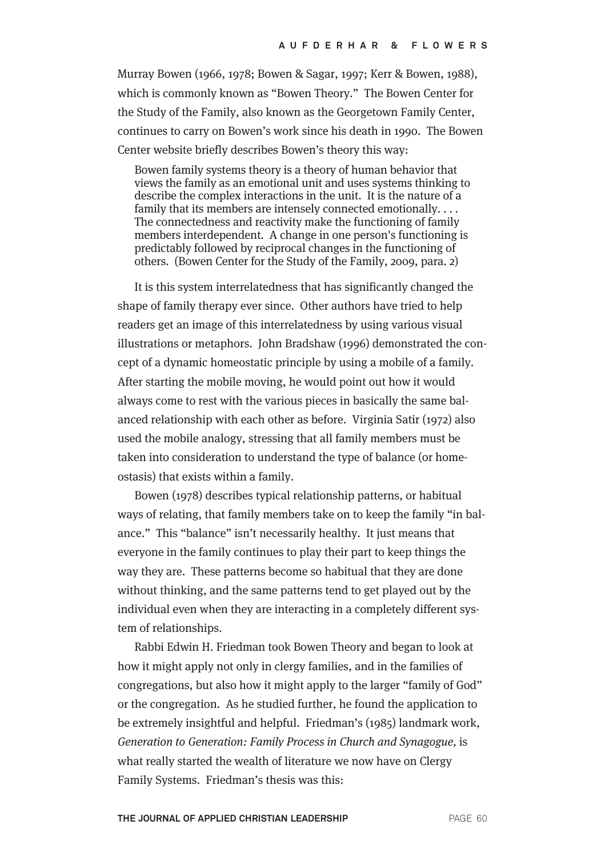Murray Bowen (1966, 1978; Bowen & Sagar, 1997; Kerr & Bowen, 1988), which is commonly known as "Bowen Theory." The Bowen Center for the Study of the Family, also known as the Georgetown Family Center, continues to carry on Bowen's work since his death in 1990. The Bowen Center website briefly describes Bowen's theory this way:

Bowen family systems theory is a theory of human behavior that views the family as an emotional unit and uses systems thinking to describe the complex interactions in the unit. It is the nature of a family that its members are intensely connected emotionally.... The connectedness and reactivity make the functioning of family members interdependent. A change in one person's functioning is predictably followed by reciprocal changes in the functioning of others. (Bowen Center for the Study of the Family, 2009, para. 2)

It is this system interrelatedness that has significantly changed the shape of family therapy ever since. Other authors have tried to help readers get an image of this interrelatedness by using various visual illustrations or metaphors. John Bradshaw (1996) demonstrated the concept of a dynamic homeostatic principle by using a mobile of a family. After starting the mobile moving, he would point out how it would always come to rest with the various pieces in basically the same balanced relationship with each other as before. Virginia Satir (1972) also used the mobile analogy, stressing that all family members must be taken into consideration to understand the type of balance (or homeostasis) that exists within a family.

Bowen (1978) describes typical relationship patterns, or habitual ways of relating, that family members take on to keep the family "in balance." This "balance" isn't necessarily healthy. It just means that everyone in the family continues to play their part to keep things the way they are. These patterns become so habitual that they are done without thinking, and the same patterns tend to get played out by the individual even when they are interacting in a completely different system of relationships.

Rabbi Edwin H. Friedman took Bowen Theory and began to look at how it might apply not only in clergy families, and in the families of congregations, but also how it might apply to the larger "family of God" or the congregation. As he studied further, he found the application to be extremely insightful and helpful. Friedman's (1985) landmark work, Generation to Generation: Family Process in Church and Synagogue, is what really started the wealth of literature we now have on Clergy Family Systems. Friedman's thesis was this: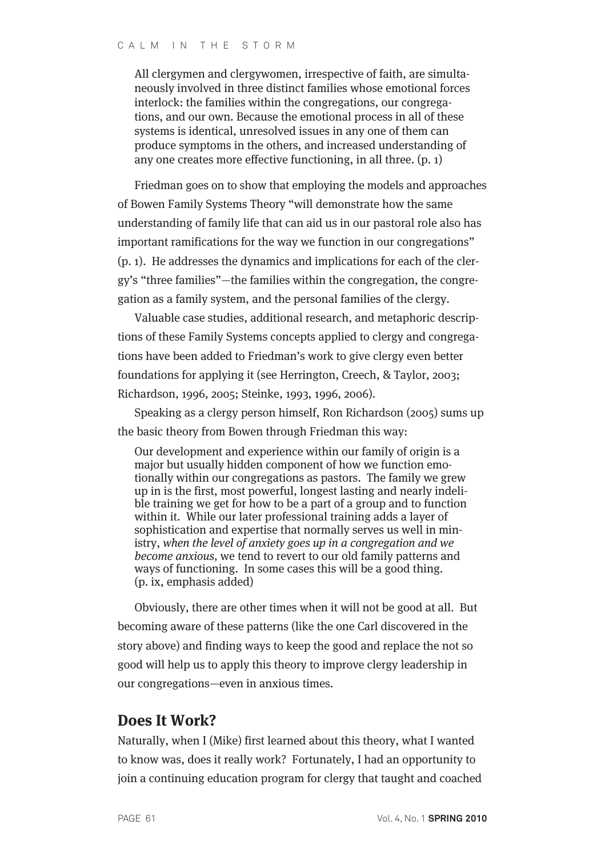All clergymen and clergywomen, irrespective of faith, are simultaneously involved in three distinct families whose emotional forces interlock: the families within the congregations, our congregations, and our own. Because the emotional process in all of these systems is identical, unresolved issues in any one of them can produce symptoms in the others, and increased understanding of any one creates more effective functioning, in all three. (p. 1)

Friedman goes on to show that employing the models and approaches of Bowen Family Systems Theory "will demonstrate how the same understanding of family life that can aid us in our pastoral role also has important ramifications for the way we function in our congregations" (p. 1). He addresses the dynamics and implications for each of the clergy's "three families"—the families within the congregation, the congregation as a family system, and the personal families of the clergy.

Valuable case studies, additional research, and metaphoric descriptions of these Family Systems concepts applied to clergy and congregations have been added to Friedman's work to give clergy even better foundations for applying it (see Herrington, Creech, & Taylor, 2003; Richardson, 1996, 2005; Steinke, 1993, 1996, 2006).

Speaking as a clergy person himself, Ron Richardson (2005) sums up the basic theory from Bowen through Friedman this way:

Our development and experience within our family of origin is a major but usually hidden component of how we function emotionally within our congregations as pastors. The family we grew up in is the first, most powerful, longest lasting and nearly indelible training we get for how to be a part of a group and to function within it. While our later professional training adds a layer of sophistication and expertise that normally serves us well in ministry, when the level of anxiety goes up in a congregation and we become anxious, we tend to revert to our old family patterns and ways of functioning. In some cases this will be a good thing. (p. ix, emphasis added)

Obviously, there are other times when it will not be good at all. But becoming aware of these patterns (like the one Carl discovered in the story above) and finding ways to keep the good and replace the not so good will help us to apply this theory to improve clergy leadership in our congregations—even in anxious times.

### **Does It Work?**

Naturally, when I (Mike) first learned about this theory, what I wanted to know was, does it really work? Fortunately, I had an opportunity to join a continuing education program for clergy that taught and coached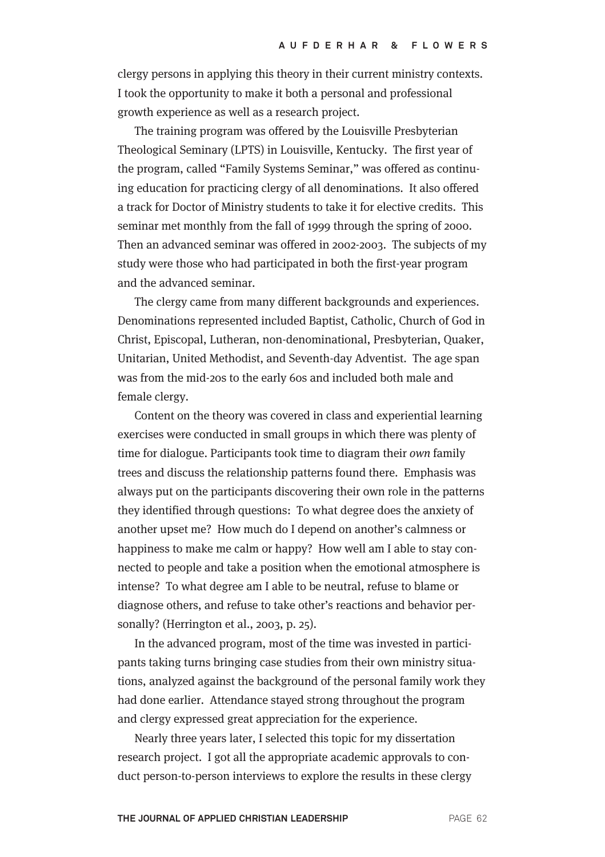clergy persons in applying this theory in their current ministry contexts. I took the opportunity to make it both a personal and professional growth experience as well as a research project.

The training program was offered by the Louisville Presbyterian Theological Seminary (LPTS) in Louisville, Kentucky. The first year of the program, called "Family Systems Seminar," was offered as continuing education for practicing clergy of all denominations. It also offered a track for Doctor of Ministry students to take it for elective credits. This seminar met monthly from the fall of 1999 through the spring of 2000. Then an advanced seminar was offered in 2002-2003. The subjects of my study were those who had participated in both the first-year program and the advanced seminar.

The clergy came from many different backgrounds and experiences. Denominations represented included Baptist, Catholic, Church of God in Christ, Episcopal, Lutheran, non-denominational, Presbyterian, Quaker, Unitarian, United Methodist, and Seventh-day Adventist. The age span was from the mid-20s to the early 60s and included both male and female clergy.

Content on the theory was covered in class and experiential learning exercises were conducted in small groups in which there was plenty of time for dialogue. Participants took time to diagram their own family trees and discuss the relationship patterns found there. Emphasis was always put on the participants discovering their own role in the patterns they identified through questions: To what degree does the anxiety of another upset me? How much do I depend on another's calmness or happiness to make me calm or happy? How well am I able to stay connected to people and take a position when the emotional atmosphere is intense? To what degree am I able to be neutral, refuse to blame or diagnose others, and refuse to take other's reactions and behavior personally? (Herrington et al., 2003, p. 25).

In the advanced program, most of the time was invested in participants taking turns bringing case studies from their own ministry situations, analyzed against the background of the personal family work they had done earlier. Attendance stayed strong throughout the program and clergy expressed great appreciation for the experience.

Nearly three years later, I selected this topic for my dissertation research project. I got all the appropriate academic approvals to conduct person-to-person interviews to explore the results in these clergy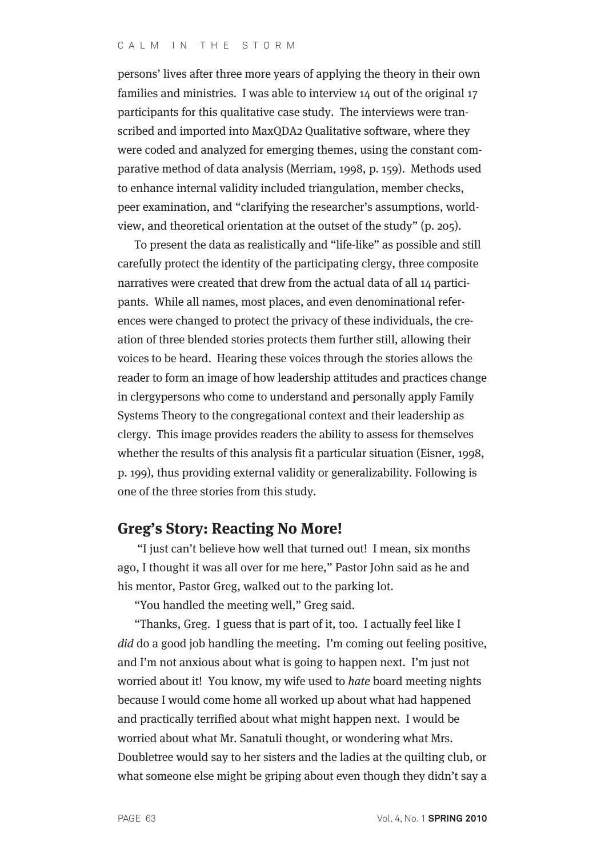persons' lives after three more years of applying the theory in their own families and ministries. I was able to interview 14 out of the original 17 participants for this qualitative case study. The interviews were transcribed and imported into MaxQDA2 Qualitative software, where they were coded and analyzed for emerging themes, using the constant comparative method of data analysis (Merriam, 1998, p. 159). Methods used to enhance internal validity included triangulation, member checks, peer examination, and "clarifying the researcher's assumptions, worldview, and theoretical orientation at the outset of the study" (p. 205).

To present the data as realistically and "life-like" as possible and still carefully protect the identity of the participating clergy, three composite narratives were created that drew from the actual data of all 14 participants. While all names, most places, and even denominational references were changed to protect the privacy of these individuals, the creation of three blended stories protects them further still, allowing their voices to be heard. Hearing these voices through the stories allows the reader to form an image of how leadership attitudes and practices change in clergypersons who come to understand and personally apply Family Systems Theory to the congregational context and their leadership as clergy. This image provides readers the ability to assess for themselves whether the results of this analysis fit a particular situation (Eisner, 1998, p. 199), thus providing external validity or generalizability. Following is one of the three stories from this study.

### **Greg's Story: Reacting No More!**

"I just can't believe how well that turned out! I mean, six months ago, I thought it was all over for me here," Pastor John said as he and his mentor, Pastor Greg, walked out to the parking lot.

"You handled the meeting well," Greg said.

"Thanks, Greg. I guess that is part of it, too. I actually feel like I did do a good job handling the meeting. I'm coming out feeling positive, and I'm not anxious about what is going to happen next. I'm just not worried about it! You know, my wife used to hate board meeting nights because I would come home all worked up about what had happened and practically terrified about what might happen next. I would be worried about what Mr. Sanatuli thought, or wondering what Mrs. Doubletree would say to her sisters and the ladies at the quilting club, or what someone else might be griping about even though they didn't say a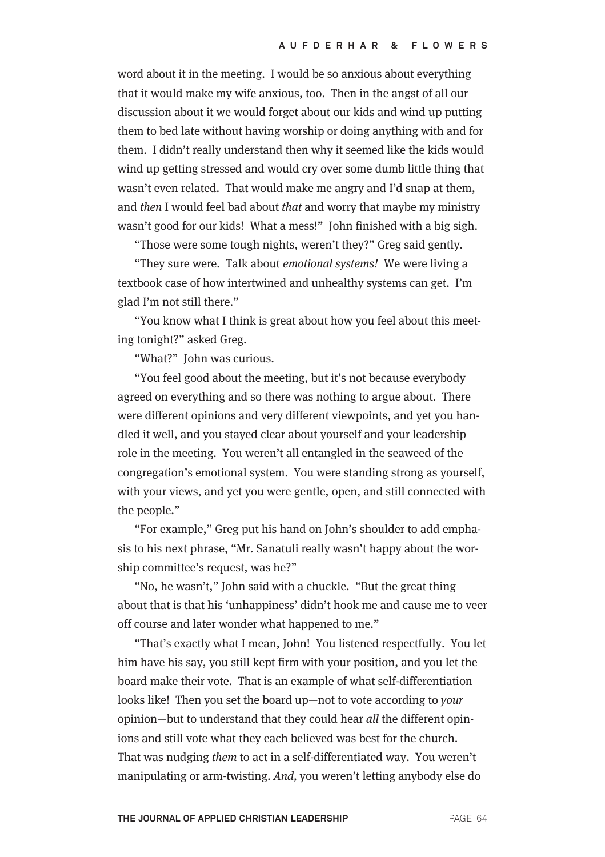word about it in the meeting. I would be so anxious about everything that it would make my wife anxious, too. Then in the angst of all our discussion about it we would forget about our kids and wind up putting them to bed late without having worship or doing anything with and for them. I didn't really understand then why it seemed like the kids would wind up getting stressed and would cry over some dumb little thing that wasn't even related. That would make me angry and I'd snap at them, and then I would feel bad about that and worry that maybe my ministry wasn't good for our kids! What a mess!" John finished with a big sigh.

"Those were some tough nights, weren't they?" Greg said gently.

"They sure were. Talk about emotional systems! We were living a textbook case of how intertwined and unhealthy systems can get. I'm glad I'm not still there."

"You know what I think is great about how you feel about this meeting tonight?" asked Greg.

"What?" John was curious.

"You feel good about the meeting, but it's not because everybody agreed on everything and so there was nothing to argue about. There were different opinions and very different viewpoints, and yet you handled it well, and you stayed clear about yourself and your leadership role in the meeting. You weren't all entangled in the seaweed of the congregation's emotional system. You were standing strong as yourself, with your views, and yet you were gentle, open, and still connected with the people."

"For example," Greg put his hand on John's shoulder to add emphasis to his next phrase, "Mr. Sanatuli really wasn't happy about the worship committee's request, was he?"

"No, he wasn't," John said with a chuckle. "But the great thing about that is that his 'unhappiness' didn't hook me and cause me to veer off course and later wonder what happened to me."

"That's exactly what I mean, John! You listened respectfully. You let him have his say, you still kept firm with your position, and you let the board make their vote. That is an example of what self-differentiation looks like! Then you set the board up—not to vote according to your opinion—but to understand that they could hear all the different opinions and still vote what they each believed was best for the church. That was nudging them to act in a self-differentiated way. You weren't manipulating or arm-twisting. And, you weren't letting anybody else do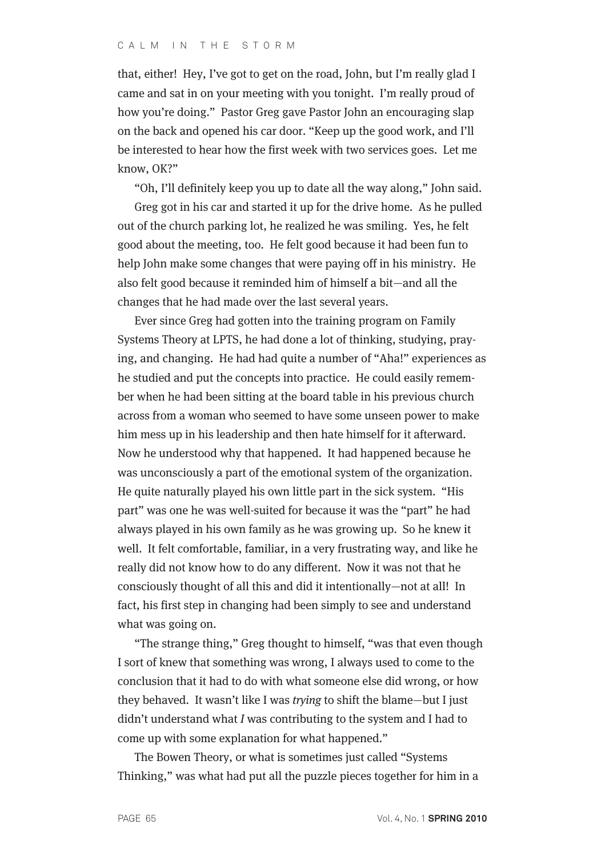that, either! Hey, I've got to get on the road, John, but I'm really glad I came and sat in on your meeting with you tonight. I'm really proud of how you're doing." Pastor Greg gave Pastor John an encouraging slap on the back and opened his car door. "Keep up the good work, and I'll be interested to hear how the first week with two services goes. Let me know, OK?"

"Oh, I'll definitely keep you up to date all the way along," John said.

Greg got in his car and started it up for the drive home. As he pulled out of the church parking lot, he realized he was smiling. Yes, he felt good about the meeting, too. He felt good because it had been fun to help John make some changes that were paying off in his ministry. He also felt good because it reminded him of himself a bit—and all the changes that he had made over the last several years.

Ever since Greg had gotten into the training program on Family Systems Theory at LPTS, he had done a lot of thinking, studying, praying, and changing. He had had quite a number of "Aha!" experiences as he studied and put the concepts into practice. He could easily remember when he had been sitting at the board table in his previous church across from a woman who seemed to have some unseen power to make him mess up in his leadership and then hate himself for it afterward. Now he understood why that happened. It had happened because he was unconsciously a part of the emotional system of the organization. He quite naturally played his own little part in the sick system. "His part" was one he was well-suited for because it was the "part" he had always played in his own family as he was growing up. So he knew it well. It felt comfortable, familiar, in a very frustrating way, and like he really did not know how to do any different. Now it was not that he consciously thought of all this and did it intentionally—not at all! In fact, his first step in changing had been simply to see and understand what was going on.

"The strange thing," Greg thought to himself, "was that even though I sort of knew that something was wrong, I always used to come to the conclusion that it had to do with what someone else did wrong, or how they behaved. It wasn't like I was trying to shift the blame—but I just didn't understand what I was contributing to the system and I had to come up with some explanation for what happened."

The Bowen Theory, or what is sometimes just called "Systems Thinking," was what had put all the puzzle pieces together for him in a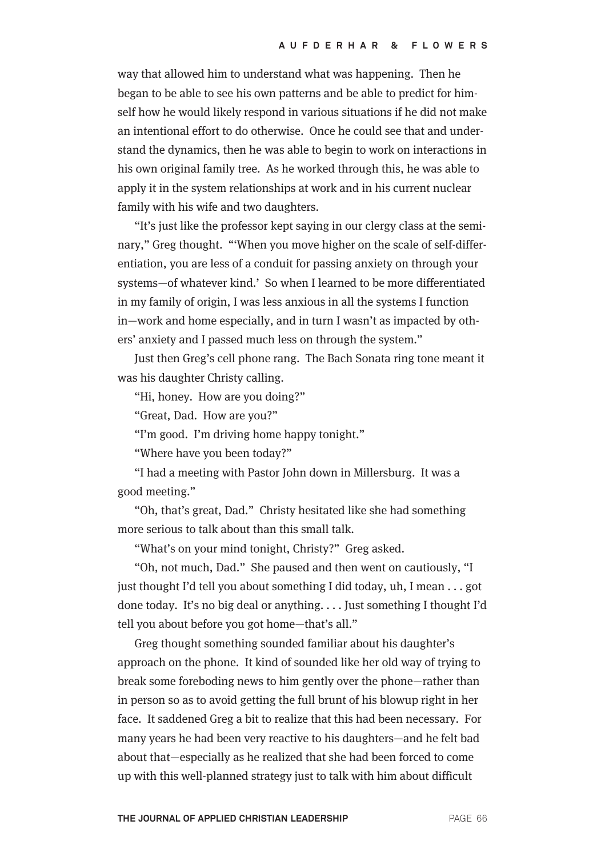way that allowed him to understand what was happening. Then he began to be able to see his own patterns and be able to predict for himself how he would likely respond in various situations if he did not make an intentional effort to do otherwise. Once he could see that and understand the dynamics, then he was able to begin to work on interactions in his own original family tree. As he worked through this, he was able to apply it in the system relationships at work and in his current nuclear family with his wife and two daughters.

"It's just like the professor kept saying in our clergy class at the seminary," Greg thought. "'When you move higher on the scale of self-differentiation, you are less of a conduit for passing anxiety on through your systems—of whatever kind.' So when I learned to be more differentiated in my family of origin, I was less anxious in all the systems I function in—work and home especially, and in turn I wasn't as impacted by others' anxiety and I passed much less on through the system."

Just then Greg's cell phone rang. The Bach Sonata ring tone meant it was his daughter Christy calling.

"Hi, honey. How are you doing?"

"Great, Dad. How are you?"

"I'm good. I'm driving home happy tonight."

"Where have you been today?"

"I had a meeting with Pastor John down in Millersburg. It was a good meeting."

"Oh, that's great, Dad." Christy hesitated like she had something more serious to talk about than this small talk.

"What's on your mind tonight, Christy?" Greg asked.

"Oh, not much, Dad." She paused and then went on cautiously, "I just thought I'd tell you about something I did today, uh, I mean . . . got done today. It's no big deal or anything. . . . Just something I thought I'd tell you about before you got home—that's all."

Greg thought something sounded familiar about his daughter's approach on the phone. It kind of sounded like her old way of trying to break some foreboding news to him gently over the phone—rather than in person so as to avoid getting the full brunt of his blowup right in her face. It saddened Greg a bit to realize that this had been necessary. For many years he had been very reactive to his daughters—and he felt bad about that—especially as he realized that she had been forced to come up with this well-planned strategy just to talk with him about difficult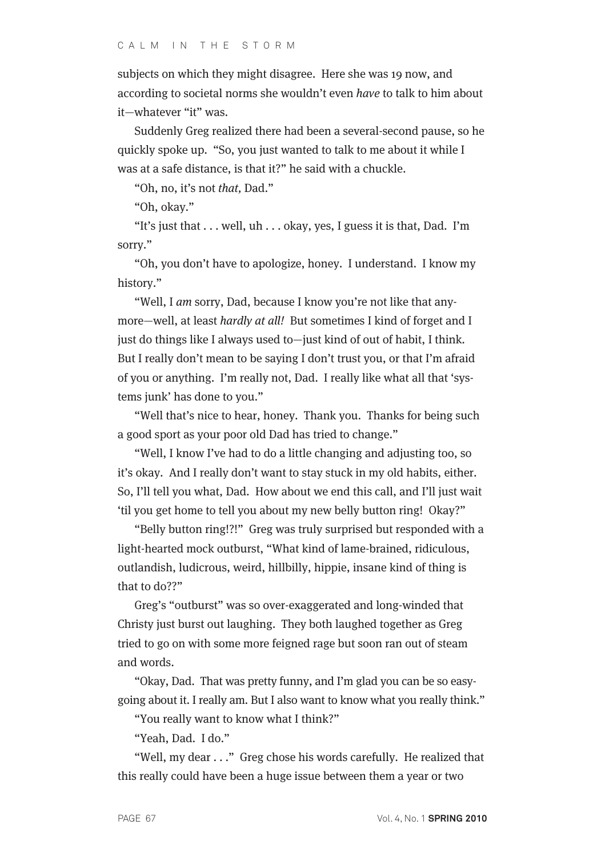subjects on which they might disagree. Here she was 19 now, and according to societal norms she wouldn't even have to talk to him about it—whatever "it" was.

Suddenly Greg realized there had been a several-second pause, so he quickly spoke up. "So, you just wanted to talk to me about it while I was at a safe distance, is that it?" he said with a chuckle.

"Oh, no, it's not that, Dad."

"Oh, okay."

"It's just that . . . well, uh . . . okay, yes, I guess it is that, Dad. I'm sorry."

"Oh, you don't have to apologize, honey. I understand. I know my history."

"Well, I am sorry, Dad, because I know you're not like that anymore—well, at least hardly at all! But sometimes I kind of forget and I just do things like I always used to—just kind of out of habit, I think. But I really don't mean to be saying I don't trust you, or that I'm afraid of you or anything. I'm really not, Dad. I really like what all that 'systems junk' has done to you."

"Well that's nice to hear, honey. Thank you. Thanks for being such a good sport as your poor old Dad has tried to change."

"Well, I know I've had to do a little changing and adjusting too, so it's okay. And I really don't want to stay stuck in my old habits, either. So, I'll tell you what, Dad. How about we end this call, and I'll just wait 'til you get home to tell you about my new belly button ring! Okay?"

"Belly button ring!?!" Greg was truly surprised but responded with a light-hearted mock outburst, "What kind of lame-brained, ridiculous, outlandish, ludicrous, weird, hillbilly, hippie, insane kind of thing is that to do??"

Greg's "outburst" was so over-exaggerated and long-winded that Christy just burst out laughing. They both laughed together as Greg tried to go on with some more feigned rage but soon ran out of steam and words.

"Okay, Dad. That was pretty funny, and I'm glad you can be so easygoing about it. I really am. But I also want to know what you really think."

"You really want to know what I think?"

"Yeah, Dad. I do."

"Well, my dear . . ." Greg chose his words carefully. He realized that this really could have been a huge issue between them a year or two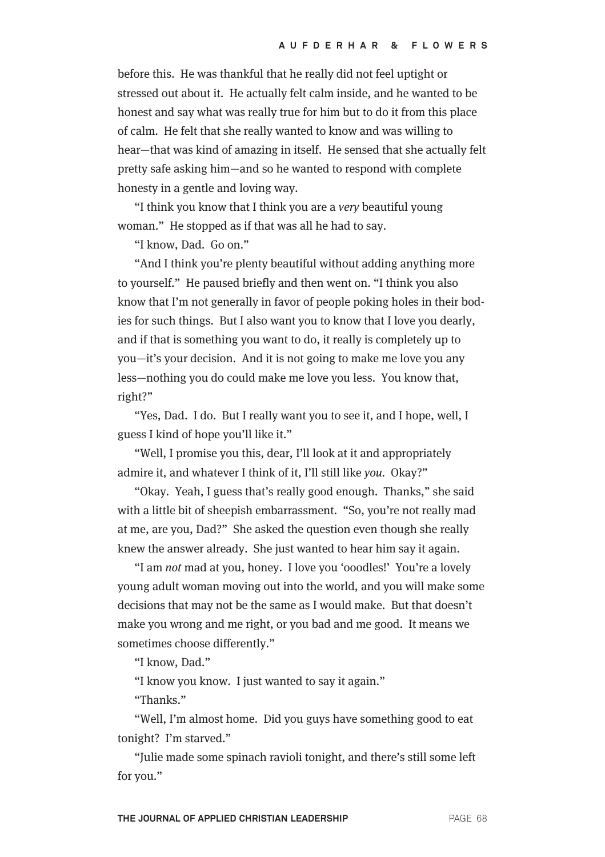before this. He was thankful that he really did not feel uptight or stressed out about it. He actually felt calm inside, and he wanted to be honest and say what was really true for him but to do it from this place of calm. He felt that she really wanted to know and was willing to hear—that was kind of amazing in itself. He sensed that she actually felt pretty safe asking him—and so he wanted to respond with complete honesty in a gentle and loving way.

"I think you know that I think you are a very beautiful young woman." He stopped as if that was all he had to say.

"I know, Dad. Go on."

"And I think you're plenty beautiful without adding anything more to yourself." He paused briefly and then went on. "I think you also know that I'm not generally in favor of people poking holes in their bodies for such things. But I also want you to know that I love you dearly, and if that is something you want to do, it really is completely up to you—it's your decision. And it is not going to make me love you any less—nothing you do could make me love you less. You know that, right?"

"Yes, Dad. I do. But I really want you to see it, and I hope, well, I guess I kind of hope you'll like it."

"Well, I promise you this, dear, I'll look at it and appropriately admire it, and whatever I think of it, I'll still like you. Okay?"

"Okay. Yeah, I guess that's really good enough. Thanks," she said with a little bit of sheepish embarrassment. "So, you're not really mad at me, are you, Dad?" She asked the question even though she really knew the answer already. She just wanted to hear him say it again.

"I am not mad at you, honey. I love you 'ooodles!' You're a lovely young adult woman moving out into the world, and you will make some decisions that may not be the same as I would make. But that doesn't make you wrong and me right, or you bad and me good. It means we sometimes choose differently."

"I know, Dad."

"I know you know. I just wanted to say it again."

"Thanks."

"Well, I'm almost home. Did you guys have something good to eat tonight? I'm starved."

"Julie made some spinach ravioli tonight, and there's still some left for you."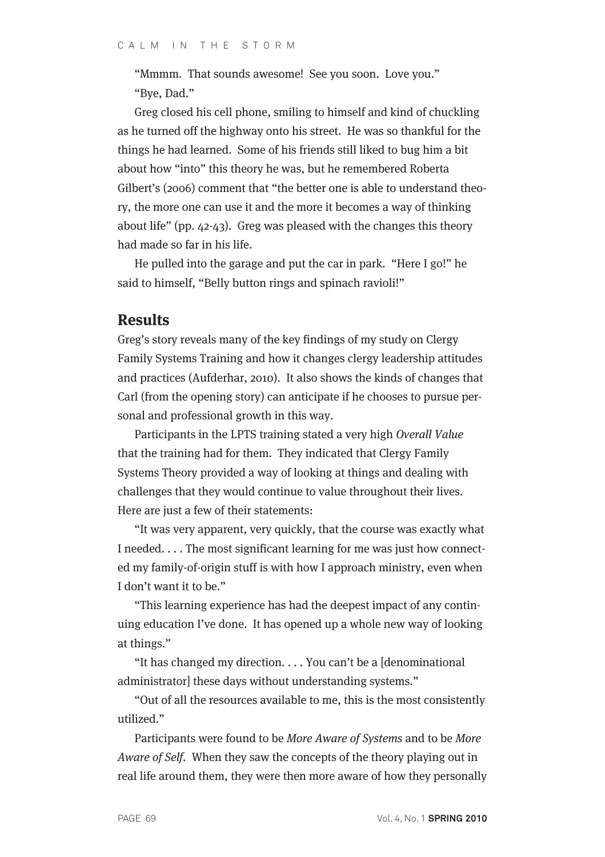"Mmmm. That sounds awesome! See you soon. Love you." "Bye, Dad."

Greg closed his cell phone, smiling to himself and kind of chuckling as he turned off the highway onto his street. He was so thankful for the things he had learned. Some of his friends still liked to bug him a bit about how "into" this theory he was, but he remembered Roberta Gilbert's (2006) comment that "the better one is able to understand theory, the more one can use it and the more it becomes a way of thinking about life" (pp. 42-43). Greg was pleased with the changes this theory had made so far in his life.

He pulled into the garage and put the car in park. "Here I go!" he said to himself, "Belly button rings and spinach ravioli!"

### **Results**

Greg's story reveals many of the key findings of my study on Clergy Family Systems Training and how it changes clergy leadership attitudes and practices (Aufderhar, 2010). It also shows the kinds of changes that Carl (from the opening story) can anticipate if he chooses to pursue personal and professional growth in this way.

Participants in the LPTS training stated a very high Overall Value that the training had for them. They indicated that Clergy Family Systems Theory provided a way of looking at things and dealing with challenges that they would continue to value throughout their lives. Here are just a few of their statements:

"It was very apparent, very quickly, that the course was exactly what I needed. . . . The most significant learning for me was just how connected my family-of-origin stuff is with how I approach ministry, even when I don't want it to be."

"This learning experience has had the deepest impact of any continuing education I've done. It has opened up a whole new way of looking at things."

"It has changed my direction. . . . You can't be a [denominational administrator] these days without understanding systems."

"Out of all the resources available to me, this is the most consistently utilized."

Participants were found to be More Aware of Systems and to be More Aware of Self. When they saw the concepts of the theory playing out in real life around them, they were then more aware of how they personally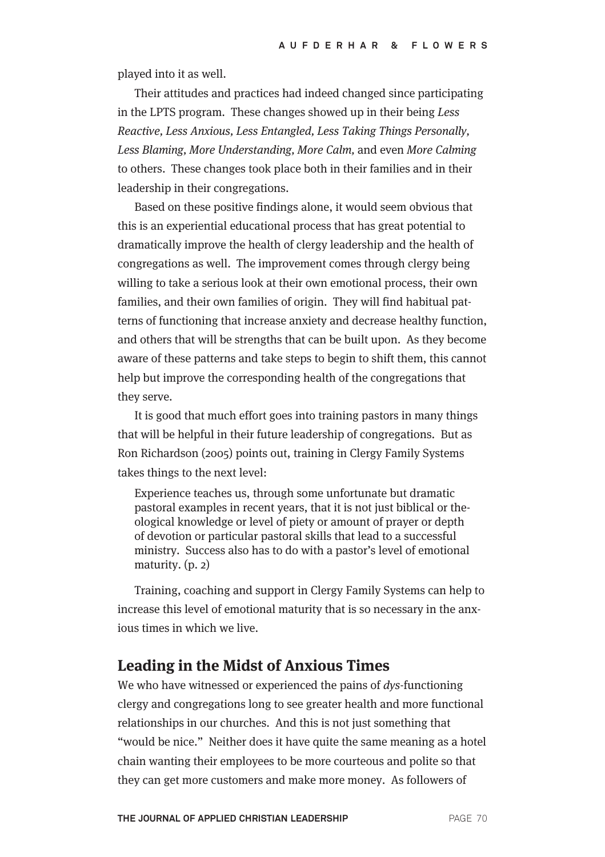played into it as well.

Their attitudes and practices had indeed changed since participating in the LPTS program. These changes showed up in their being Less Reactive, Less Anxious, Less Entangled, Less Taking Things Personally, Less Blaming, More Understanding, More Calm, and even More Calming to others. These changes took place both in their families and in their leadership in their congregations.

Based on these positive findings alone, it would seem obvious that this is an experiential educational process that has great potential to dramatically improve the health of clergy leadership and the health of congregations as well. The improvement comes through clergy being willing to take a serious look at their own emotional process, their own families, and their own families of origin. They will find habitual patterns of functioning that increase anxiety and decrease healthy function, and others that will be strengths that can be built upon. As they become aware of these patterns and take steps to begin to shift them, this cannot help but improve the corresponding health of the congregations that they serve.

It is good that much effort goes into training pastors in many things that will be helpful in their future leadership of congregations. But as Ron Richardson (2005) points out, training in Clergy Family Systems takes things to the next level:

Experience teaches us, through some unfortunate but dramatic pastoral examples in recent years, that it is not just biblical or theological knowledge or level of piety or amount of prayer or depth of devotion or particular pastoral skills that lead to a successful ministry. Success also has to do with a pastor's level of emotional maturity. (p. 2)

Training, coaching and support in Clergy Family Systems can help to increase this level of emotional maturity that is so necessary in the anxious times in which we live.

## **Leading in the Midst of Anxious Times**

We who have witnessed or experienced the pains of *dys*-functioning clergy and congregations long to see greater health and more functional relationships in our churches. And this is not just something that "would be nice." Neither does it have quite the same meaning as a hotel chain wanting their employees to be more courteous and polite so that they can get more customers and make more money. As followers of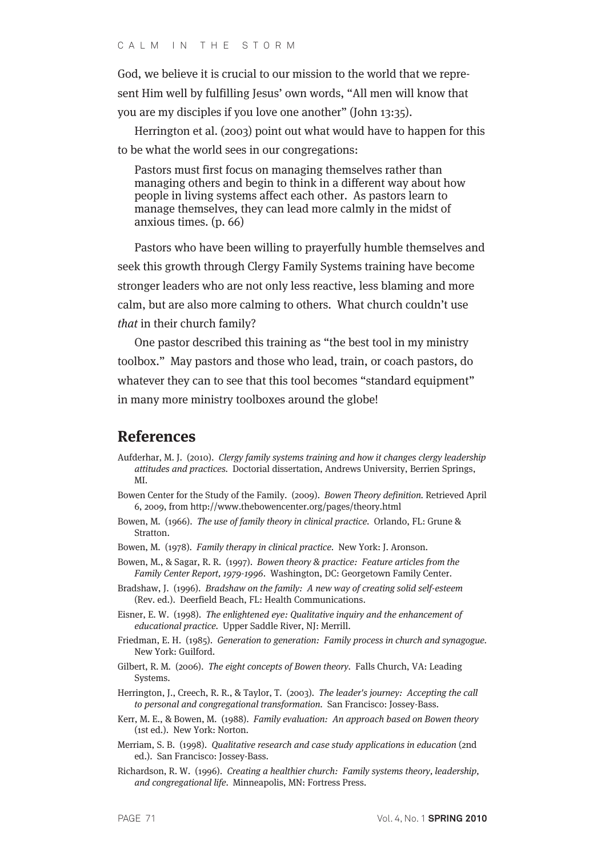God, we believe it is crucial to our mission to the world that we represent Him well by fulfilling Jesus' own words, "All men will know that you are my disciples if you love one another" (John 13:35).

Herrington et al. (2003) point out what would have to happen for this to be what the world sees in our congregations:

Pastors must first focus on managing themselves rather than managing others and begin to think in a different way about how people in living systems affect each other. As pastors learn to manage themselves, they can lead more calmly in the midst of anxious times. (p. 66)

Pastors who have been willing to prayerfully humble themselves and seek this growth through Clergy Family Systems training have become stronger leaders who are not only less reactive, less blaming and more calm, but are also more calming to others. What church couldn't use that in their church family?

One pastor described this training as "the best tool in my ministry toolbox." May pastors and those who lead, train, or coach pastors, do whatever they can to see that this tool becomes "standard equipment" in many more ministry toolboxes around the globe!

### **References**

- Aufderhar, M. J. (2010). Clergy family systems training and how it changes clergy leadership attitudes and practices. Doctorial dissertation, Andrews University, Berrien Springs, MI.
- Bowen Center for the Study of the Family. (2009). Bowen Theory definition. Retrieved April 6, 2009, from http://www.thebowencenter.org/pages/theory.html
- Bowen, M. (1966). The use of family theory in clinical practice. Orlando, FL: Grune & Stratton.
- Bowen, M. (1978). Family therapy in clinical practice. New York: J. Aronson.
- Bowen, M., & Sagar, R. R. (1997). Bowen theory & practice: Feature articles from the Family Center Report, 1979-1996. Washington, DC: Georgetown Family Center.
- Bradshaw, J. (1996). Bradshaw on the family: A new way of creating solid self-esteem (Rev. ed.). Deerfield Beach, FL: Health Communications.
- Eisner, E. W. (1998). The enlightened eye: Qualitative inquiry and the enhancement of educational practice. Upper Saddle River, NJ: Merrill.
- Friedman, E. H. (1985). Generation to generation: Family process in church and synagogue. New York: Guilford.
- Gilbert, R. M. (2006). The eight concepts of Bowen theory. Falls Church, VA: Leading Systems.
- Herrington, J., Creech, R. R., & Taylor, T. (2003). The leader's journey: Accepting the call to personal and congregational transformation. San Francisco: Jossey-Bass.
- Kerr, M. E., & Bowen, M. (1988). Family evaluation: An approach based on Bowen theory (1st ed.). New York: Norton.
- Merriam, S. B. (1998). Qualitative research and case study applications in education (2nd ed.). San Francisco: Jossey-Bass.
- Richardson, R. W. (1996). Creating a healthier church: Family systems theory, leadership, and congregational life. Minneapolis, MN: Fortress Press.